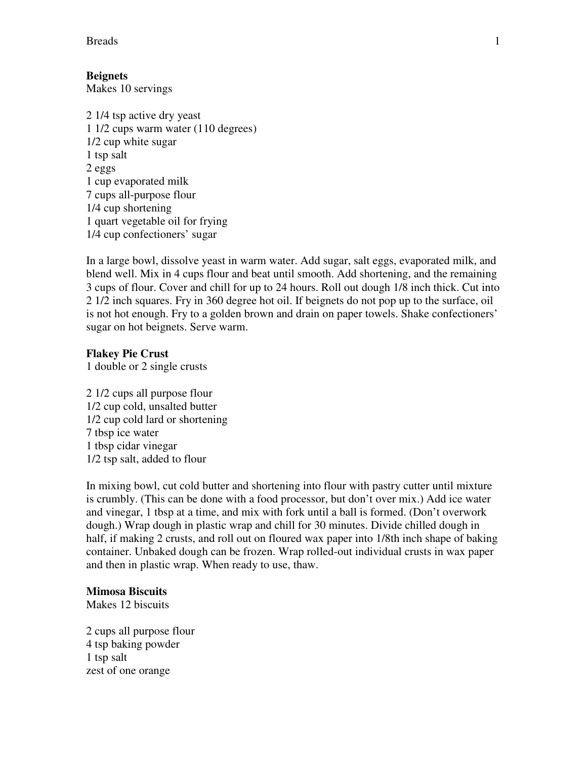Breads 1

# **Beignets**

Makes 10 servings

2 1/4 tsp active dry yeast 1 1/2 cups warm water (110 degrees) 1/2 cup white sugar 1 tsp salt 2 eggs 1 cup evaporated milk 7 cups all-purpose flour 1/4 cup shortening 1 quart vegetable oil for frying 1/4 cup confectioners' sugar

In a large bowl, dissolve yeast in warm water. Add sugar, salt eggs, evaporated milk, and blend well. Mix in 4 cups flour and beat until smooth. Add shortening, and the remaining 3 cups of flour. Cover and chill for up to 24 hours. Roll out dough 1/8 inch thick. Cut into 2 1/2 inch squares. Fry in 360 degree hot oil. If beignets do not pop up to the surface, oil is not hot enough. Fry to a golden brown and drain on paper towels. Shake confectioners' sugar on hot beignets. Serve warm.

## **Flakey Pie Crust**

1 double or 2 single crusts

2 1/2 cups all purpose flour 1/2 cup cold, unsalted butter 1/2 cup cold lard or shortening 7 tbsp ice water 1 tbsp cidar vinegar 1/2 tsp salt, added to flour

In mixing bowl, cut cold butter and shortening into flour with pastry cutter until mixture is crumbly. (This can be done with a food processor, but don't over mix.) Add ice water and vinegar, 1 tbsp at a time, and mix with fork until a ball is formed. (Don't overwork dough.) Wrap dough in plastic wrap and chill for 30 minutes. Divide chilled dough in half, if making 2 crusts, and roll out on floured wax paper into 1/8th inch shape of baking container. Unbaked dough can be frozen. Wrap rolled-out individual crusts in wax paper and then in plastic wrap. When ready to use, thaw.

## **Mimosa Biscuits**

Makes 12 biscuits

2 cups all purpose flour 4 tsp baking powder 1 tsp salt zest of one orange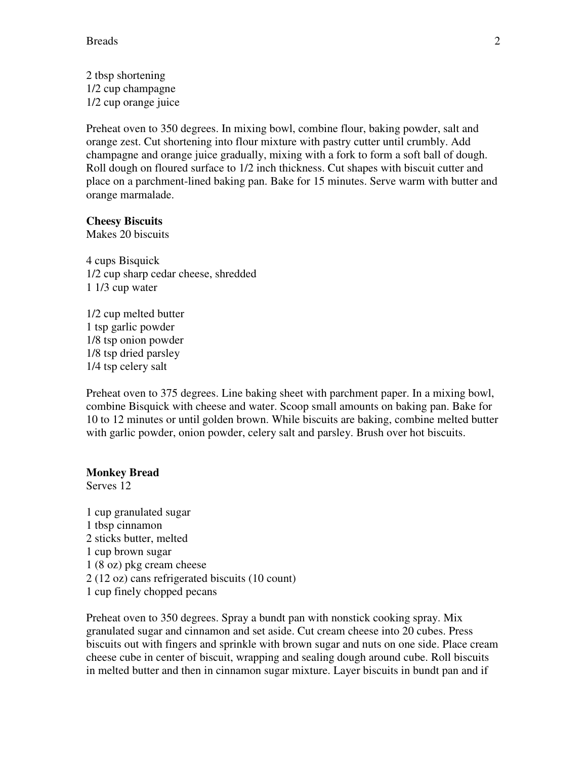2 tbsp shortening 1/2 cup champagne 1/2 cup orange juice

Preheat oven to 350 degrees. In mixing bowl, combine flour, baking powder, salt and orange zest. Cut shortening into flour mixture with pastry cutter until crumbly. Add champagne and orange juice gradually, mixing with a fork to form a soft ball of dough. Roll dough on floured surface to 1/2 inch thickness. Cut shapes with biscuit cutter and place on a parchment-lined baking pan. Bake for 15 minutes. Serve warm with butter and orange marmalade.

## **Cheesy Biscuits**

Makes 20 biscuits

4 cups Bisquick 1/2 cup sharp cedar cheese, shredded 1 1/3 cup water

1/2 cup melted butter 1 tsp garlic powder 1/8 tsp onion powder 1/8 tsp dried parsley 1/4 tsp celery salt

Preheat oven to 375 degrees. Line baking sheet with parchment paper. In a mixing bowl, combine Bisquick with cheese and water. Scoop small amounts on baking pan. Bake for 10 to 12 minutes or until golden brown. While biscuits are baking, combine melted butter with garlic powder, onion powder, celery salt and parsley. Brush over hot biscuits.

#### **Monkey Bread**

Serves 12

1 cup granulated sugar 1 tbsp cinnamon 2 sticks butter, melted 1 cup brown sugar 1 (8 oz) pkg cream cheese 2 (12 oz) cans refrigerated biscuits (10 count) 1 cup finely chopped pecans

Preheat oven to 350 degrees. Spray a bundt pan with nonstick cooking spray. Mix granulated sugar and cinnamon and set aside. Cut cream cheese into 20 cubes. Press biscuits out with fingers and sprinkle with brown sugar and nuts on one side. Place cream cheese cube in center of biscuit, wrapping and sealing dough around cube. Roll biscuits in melted butter and then in cinnamon sugar mixture. Layer biscuits in bundt pan and if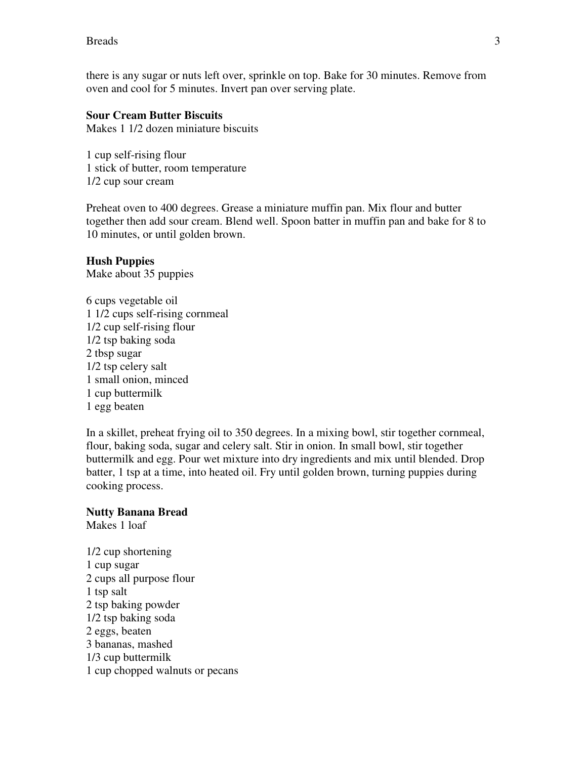there is any sugar or nuts left over, sprinkle on top. Bake for 30 minutes. Remove from oven and cool for 5 minutes. Invert pan over serving plate.

## **Sour Cream Butter Biscuits**

Makes 1 1/2 dozen miniature biscuits

1 cup self-rising flour 1 stick of butter, room temperature 1/2 cup sour cream

Preheat oven to 400 degrees. Grease a miniature muffin pan. Mix flour and butter together then add sour cream. Blend well. Spoon batter in muffin pan and bake for 8 to 10 minutes, or until golden brown.

#### **Hush Puppies**

Make about 35 puppies

6 cups vegetable oil 1 1/2 cups self-rising cornmeal 1/2 cup self-rising flour 1/2 tsp baking soda 2 tbsp sugar 1/2 tsp celery salt 1 small onion, minced 1 cup buttermilk 1 egg beaten

In a skillet, preheat frying oil to 350 degrees. In a mixing bowl, stir together cornmeal, flour, baking soda, sugar and celery salt. Stir in onion. In small bowl, stir together buttermilk and egg. Pour wet mixture into dry ingredients and mix until blended. Drop batter, 1 tsp at a time, into heated oil. Fry until golden brown, turning puppies during cooking process.

#### **Nutty Banana Bread**

Makes 1 loaf

1/2 cup shortening 1 cup sugar 2 cups all purpose flour 1 tsp salt 2 tsp baking powder 1/2 tsp baking soda 2 eggs, beaten 3 bananas, mashed 1/3 cup buttermilk 1 cup chopped walnuts or pecans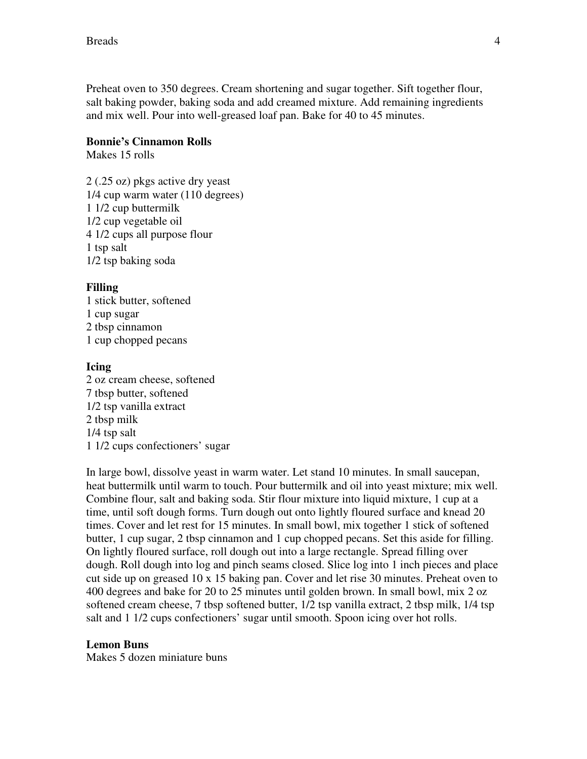Preheat oven to 350 degrees. Cream shortening and sugar together. Sift together flour, salt baking powder, baking soda and add creamed mixture. Add remaining ingredients and mix well. Pour into well-greased loaf pan. Bake for 40 to 45 minutes.

## **Bonnie's Cinnamon Rolls**

Makes 15 rolls

2 (.25 oz) pkgs active dry yeast 1/4 cup warm water (110 degrees) 1 1/2 cup buttermilk 1/2 cup vegetable oil 4 1/2 cups all purpose flour 1 tsp salt 1/2 tsp baking soda

## **Filling**

1 stick butter, softened 1 cup sugar 2 tbsp cinnamon 1 cup chopped pecans

## **Icing**

2 oz cream cheese, softened 7 tbsp butter, softened 1/2 tsp vanilla extract 2 tbsp milk 1/4 tsp salt 1 1/2 cups confectioners' sugar

In large bowl, dissolve yeast in warm water. Let stand 10 minutes. In small saucepan, heat buttermilk until warm to touch. Pour buttermilk and oil into yeast mixture; mix well. Combine flour, salt and baking soda. Stir flour mixture into liquid mixture, 1 cup at a time, until soft dough forms. Turn dough out onto lightly floured surface and knead 20 times. Cover and let rest for 15 minutes. In small bowl, mix together 1 stick of softened butter, 1 cup sugar, 2 tbsp cinnamon and 1 cup chopped pecans. Set this aside for filling. On lightly floured surface, roll dough out into a large rectangle. Spread filling over dough. Roll dough into log and pinch seams closed. Slice log into 1 inch pieces and place cut side up on greased 10 x 15 baking pan. Cover and let rise 30 minutes. Preheat oven to 400 degrees and bake for 20 to 25 minutes until golden brown. In small bowl, mix 2 oz softened cream cheese, 7 tbsp softened butter, 1/2 tsp vanilla extract, 2 tbsp milk, 1/4 tsp salt and 1 1/2 cups confectioners' sugar until smooth. Spoon icing over hot rolls.

## **Lemon Buns**

Makes 5 dozen miniature buns